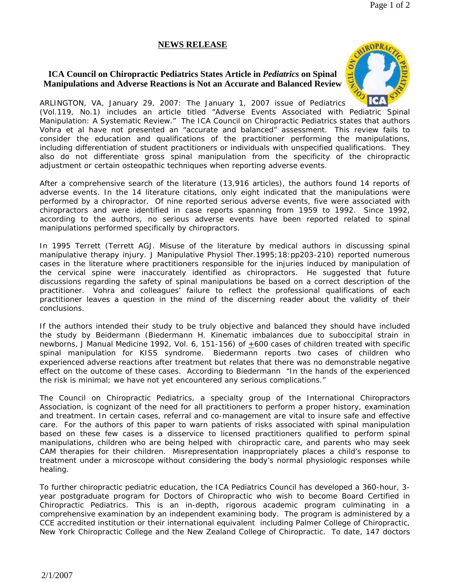## **NEWS RELEASE**

## **ICA Council on Chiropractic Pediatrics States Article in** *Pediatrics* **on Spinal Manipulations and Adverse Reactions is Not an Accurate and Balanced Review**



ARLINGTON, VA, January 29, 2007: The January 1, 2007 issue of *Pediatrics (Vol.119, No.1)* includes an article titled "Adverse Events Associated with Pediatric Spinal Manipulation: A Systematic Review." The ICA Council on Chiropractic Pediatrics states that authors Vohra et al have not presented an "accurate and balanced" assessment. This review fails to consider the education and qualifications of the practitioner performing the manipulations, including differentiation of student practitioners or individuals with unspecified qualifications. They also do not differentiate gross spinal manipulation from the specificity of the chiropractic adjustment or certain osteopathic techniques when reporting adverse events.

After a comprehensive search of the literature (13,916 articles), the authors found 14 reports of adverse events. In the 14 literature citations, only eight indicated that the manipulations were performed by a chiropractor. Of nine reported serious adverse events, five were associated with chiropractors and were identified in case reports spanning from 1959 to 1992. Since 1992, according to the authors, no serious adverse events have been reported related to spinal manipulations performed specifically by chiropractors.

In 1995 Terrett (Terrett AGJ. Misuse of the literature by medical authors in discussing spinal manipulative therapy injury. *J Manipulative Physiol* Ther.1995;18:pp203-210) reported numerous cases in the literature where practitioners responsible for the injuries induced by manipulation of the cervical spine were inaccurately identified as chiropractors. He suggested that future discussions regarding the safety of spinal manipulations be based on a correct description of the practitioner. Vohra and colleagues' failure to reflect the professional qualifications of each practitioner leaves a question in the mind of the discerning reader about the validity of their conclusions.

If the authors intended their study to be truly objective and balanced they should have included the study by Beidermann (Biedermann H. Kinematic imbalances due to suboccipital strain in newborns, *J Manual Medicine 1992*, Vol. 6, 151-156) of +600 cases of children treated with specific spinal manipulation for KISS syndrome. Biedermann reports two cases of children who experienced adverse reactions after treatment but relates that there was no demonstrable negative effect on the outcome of these cases. According to Biedermann "In the hands of the experienced the risk is minimal; we have not yet encountered any serious complications."

The Council on Chiropractic Pediatrics, a specialty group of the International Chiropractors Association, is cognizant of the need for all practitioners to perform a proper history, examination and treatment. In certain cases, referral and co-management are vital to insure safe and effective care. For the authors of this paper to warn patients of risks associated with spinal manipulation based on these few cases is a disservice to licensed practitioners qualified to perform spinal manipulations, children who are being helped with chiropractic care, and parents who may seek CAM therapies for their children. Misrepresentation inappropriately places a child's response to treatment under a microscope without considering the body's normal physiologic responses while healing.

To further chiropractic pediatric education, the ICA Pediatrics Council has developed a 360-hour, 3 year postgraduate program for Doctors of Chiropractic who wish to become Board Certified in Chiropractic Pediatrics. This is an in-depth, rigorous academic program culminating in a comprehensive examination by an independent examining body. The program is administered by a CCE accredited institution or their international equivalent including Palmer College of Chiropractic, New York Chiropractic College and the New Zealand College of Chiropractic. To date, 147 doctors